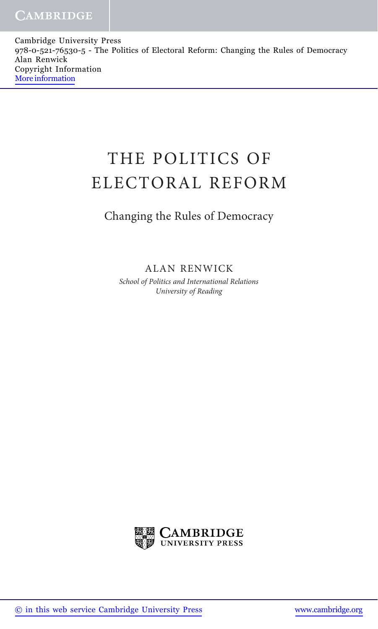Cambridge University Press 978-0-521-76530-5 - The Politics of Electoral Reform: Changing the Rules of Democracy Alan Renwick Copyright Information [More information](http://www.cambridge.org/9780521765305)

## THE POLITICS OF ELECTORAL REFORM

## Changing the Rules of Democracy

ALAN RENWICK

School of Politics and International Relations University of Reading